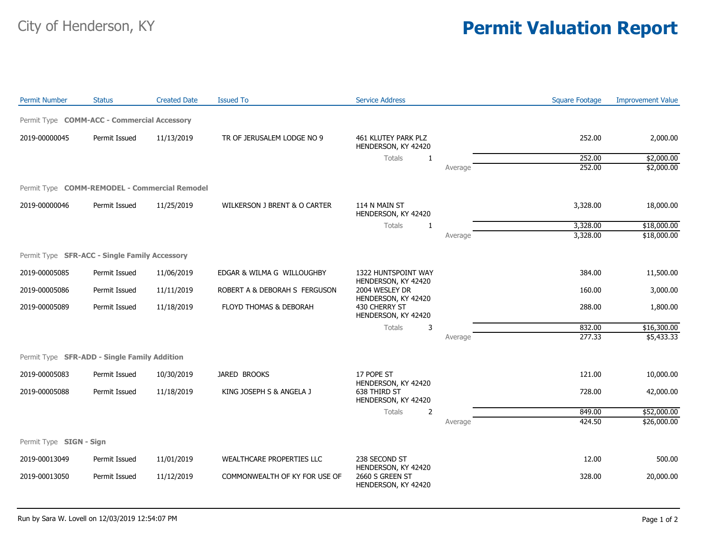## City of Henderson, KY **Permit Valuation Report**

| <b>Permit Number</b>                          | <b>Status</b> | <b>Created Date</b> | <b>Issued To</b>              | <b>Service Address</b>                                       |         | <b>Square Footage</b> | <b>Improvement Value</b>   |
|-----------------------------------------------|---------------|---------------------|-------------------------------|--------------------------------------------------------------|---------|-----------------------|----------------------------|
| Permit Type COMM-ACC - Commercial Accessory   |               |                     |                               |                                                              |         |                       |                            |
| 2019-00000045                                 | Permit Issued | 11/13/2019          | TR OF JERUSALEM LODGE NO 9    | 461 KLUTEY PARK PLZ<br>HENDERSON, KY 42420                   |         | 252.00                | 2,000.00                   |
|                                               |               |                     |                               | Totals<br>-1                                                 |         | 252.00                | \$2,000.00                 |
|                                               |               |                     |                               |                                                              | Average | 252.00                | \$2,000.00                 |
| Permit Type COMM-REMODEL - Commercial Remodel |               |                     |                               |                                                              |         |                       |                            |
| 2019-00000046                                 | Permit Issued | 11/25/2019          | WILKERSON J BRENT & O CARTER  | 114 N MAIN ST<br>HENDERSON, KY 42420                         |         | 3,328.00              | 18,000.00                  |
|                                               |               |                     |                               | Totals<br>$\mathbf{1}$                                       |         | 3,328.00              | \$18,000.00                |
|                                               |               |                     |                               |                                                              | Average | 3,328.00              | \$18,000.00                |
| Permit Type SFR-ACC - Single Family Accessory |               |                     |                               |                                                              |         |                       |                            |
| 2019-00005085                                 | Permit Issued | 11/06/2019          | EDGAR & WILMA G WILLOUGHBY    | 1322 HUNTSPOINT WAY                                          |         | 384.00                | 11,500.00                  |
| 2019-00005086                                 | Permit Issued | 11/11/2019          | ROBERT A & DEBORAH S FERGUSON | HENDERSON, KY 42420<br>2004 WESLEY DR<br>HENDERSON, KY 42420 |         | 160.00                | 3,000.00                   |
| 2019-00005089                                 | Permit Issued | 11/18/2019          | FLOYD THOMAS & DEBORAH        | 430 CHERRY ST<br>HENDERSON, KY 42420                         |         | 288.00                | 1,800.00                   |
|                                               |               |                     |                               | Totals<br>3                                                  |         | 832.00                | \$16,300.00                |
|                                               |               |                     |                               |                                                              | Average | 277.33                | \$5,433.33                 |
| Permit Type SFR-ADD - Single Family Addition  |               |                     |                               |                                                              |         |                       |                            |
| 2019-00005083                                 | Permit Issued | 10/30/2019          | JARED BROOKS                  | 17 POPE ST                                                   |         | 121.00                | 10,000.00                  |
| 2019-00005088                                 | Permit Issued | 11/18/2019          | KING JOSEPH S & ANGELA J      | HENDERSON, KY 42420<br>638 THIRD ST<br>HENDERSON, KY 42420   |         | 728.00                | 42,000.00                  |
|                                               |               |                     |                               |                                                              |         |                       |                            |
|                                               |               |                     |                               | Totals<br>2                                                  | Average | 849.00<br>424.50      | \$52,000.00<br>\$26,000.00 |
|                                               |               |                     |                               |                                                              |         |                       |                            |
| Permit Type SIGN - Sign                       |               |                     |                               |                                                              |         |                       |                            |
| 2019-00013049                                 | Permit Issued | 11/01/2019          | WEALTHCARE PROPERTIES LLC     | 238 SECOND ST<br>HENDERSON, KY 42420                         |         | 12.00                 | 500.00                     |
| 2019-00013050                                 | Permit Issued | 11/12/2019          | COMMONWEALTH OF KY FOR USE OF | 2660 S GREEN ST<br>HENDERSON, KY 42420                       |         | 328.00                | 20,000.00                  |